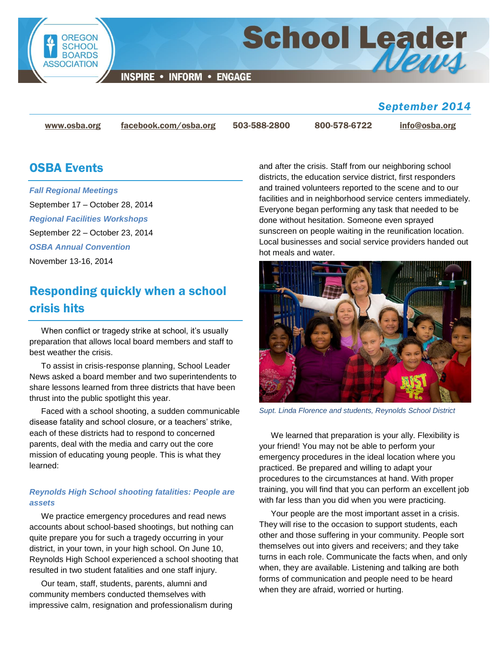

**INSPIRE • INFORM • ENGAGE** 

## *September 2014*

News

[www.osba.org](http://www.osba.org/) [facebook.com/osba.org](http://www.facebook.com/osba.org) 503-588-2800 800-578-6722 [info@osba.org](mailto:info@osba.org)

**School Leader** 

## OSBA Events

*[Fall Regional Meetings](http://www.osba.org/Calendar/Events/Fall_Regionals-2014.aspx)* September 17 – October 28, 2014 *[Regional Facilities Workshops](http://www.osba.org/Calendar/Events/Regional_Facilities_Workshops-2014.aspx)* September 22 – October 23, 2014 *[OSBA Annual Convention](http://www.osba.org/Calendar/Events/Annual_Convention-2014.aspx)*

November 13-16, 2014

## Responding quickly when a school crisis hits

When conflict or tragedy strike at school, it's usually preparation that allows local board members and staff to best weather the crisis.

To assist in crisis-response planning, School Leader News asked a board member and two superintendents to share lessons learned from three districts that have been thrust into the public spotlight this year.

Faced with a school shooting, a sudden communicable disease fatality and school closure, or a teachers' strike, each of these districts had to respond to concerned parents, deal with the media and carry out the core mission of educating young people. This is what they learned:

### *Reynolds High School shooting fatalities: People are assets*

We practice emergency procedures and read news accounts about school-based shootings, but nothing can quite prepare you for such a tragedy occurring in your district, in your town, in your high school. On June 10, Reynolds High School experienced a school shooting that resulted in two student fatalities and one staff injury.

Our team, staff, students, parents, alumni and community members conducted themselves with impressive calm, resignation and professionalism during and after the crisis. Staff from our neighboring school districts, the education service district, first responders and trained volunteers reported to the scene and to our facilities and in neighborhood service centers immediately. Everyone began performing any task that needed to be done without hesitation. Someone even sprayed sunscreen on people waiting in the reunification location. Local businesses and social service providers handed out hot meals and water.



*Supt. Linda Florence and students, Reynolds School District*

We learned that preparation is your ally. Flexibility is your friend! You may not be able to perform your emergency procedures in the ideal location where you practiced. Be prepared and willing to adapt your procedures to the circumstances at hand. With proper training, you will find that you can perform an excellent job with far less than you did when you were practicing.

Your people are the most important asset in a crisis. They will rise to the occasion to support students, each other and those suffering in your community. People sort themselves out into givers and receivers; and they take turns in each role. Communicate the facts when, and only when, they are available. Listening and talking are both forms of communication and people need to be heard when they are afraid, worried or hurting.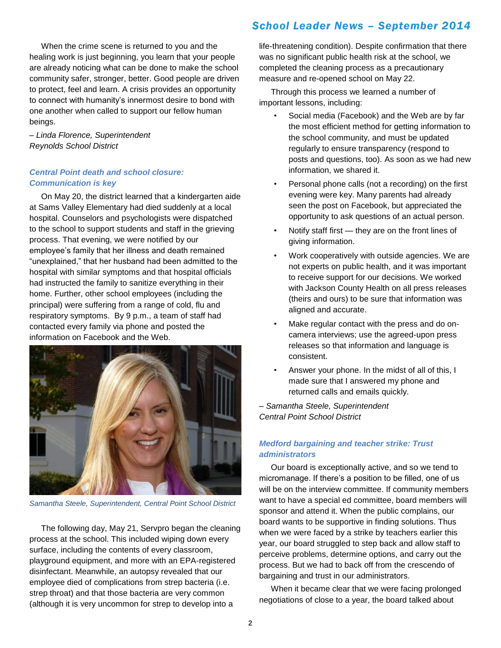When the crime scene is returned to you and the healing work is just beginning, you learn that your people are already noticing what can be done to make the school community safer, stronger, better. Good people are driven to protect, feel and learn. A crisis provides an opportunity to connect with humanity's innermost desire to bond with one another when called to support our fellow human beings.

– *Linda Florence, Superintendent Reynolds School District*

#### *Central Point death and school closure: Communication is key*

On May 20, the district learned that a kindergarten aide at Sams Valley Elementary had died suddenly at a local hospital. Counselors and psychologists were dispatched to the school to support students and staff in the grieving process. That evening, we were notified by our employee's family that her illness and death remained "unexplained," that her husband had been admitted to the hospital with similar symptoms and that hospital officials had instructed the family to sanitize everything in their home. Further, other school employees (including the principal) were suffering from a range of cold, flu and respiratory symptoms. By 9 p.m., a team of staff had contacted every family via phone and posted the information on Facebook and the Web.



*Samantha Steele, Superintendent, Central Point School District*

The following day, May 21, Servpro began the cleaning process at the school. This included wiping down every surface, including the contents of every classroom, playground equipment, and more with an EPA-registered disinfectant. Meanwhile, an autopsy revealed that our employee died of complications from strep bacteria (i.e. strep throat) and that those bacteria are very common (although it is very uncommon for strep to develop into a

## *School Leader News – September 2014*

life-threatening condition). Despite confirmation that there was no significant public health risk at the school, we completed the cleaning process as a precautionary measure and re-opened school on May 22.

Through this process we learned a number of important lessons, including:

- Social media (Facebook) and the Web are by far the most efficient method for getting information to the school community, and must be updated regularly to ensure transparency (respond to posts and questions, too). As soon as we had new information, we shared it.
- Personal phone calls (not a recording) on the first evening were key. Many parents had already seen the post on Facebook, but appreciated the opportunity to ask questions of an actual person.
- Notify staff first they are on the front lines of giving information.
- Work cooperatively with outside agencies. We are not experts on public health, and it was important to receive support for our decisions. We worked with Jackson County Health on all press releases (theirs and ours) to be sure that information was aligned and accurate.
- Make regular contact with the press and do oncamera interviews; use the agreed-upon press releases so that information and language is consistent.
- Answer your phone. In the midst of all of this, I made sure that I answered my phone and returned calls and emails quickly.

– *Samantha Steele, Superintendent Central Point School District*

### *Medford bargaining and teacher strike: Trust administrators*

Our board is exceptionally active, and so we tend to micromanage. If there's a position to be filled, one of us will be on the interview committee. If community members want to have a special ed committee, board members will sponsor and attend it. When the public complains, our board wants to be supportive in finding solutions. Thus when we were faced by a strike by teachers earlier this year, our board struggled to step back and allow staff to perceive problems, determine options, and carry out the process. But we had to back off from the crescendo of bargaining and trust in our administrators.

When it became clear that we were facing prolonged negotiations of close to a year, the board talked about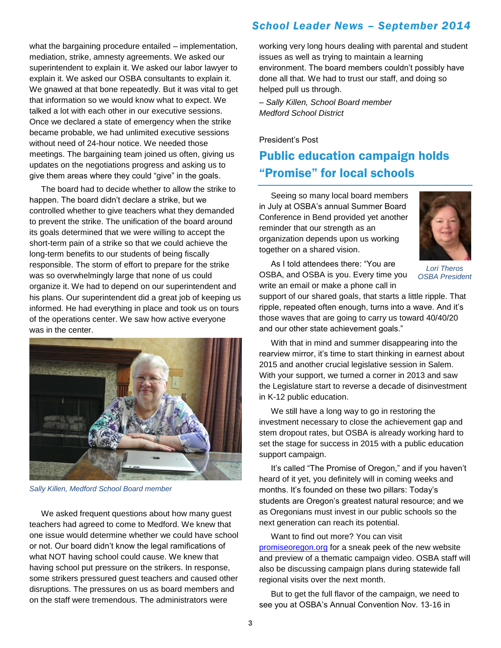what the bargaining procedure entailed – implementation, mediation, strike, amnesty agreements. We asked our superintendent to explain it. We asked our labor lawyer to explain it. We asked our OSBA consultants to explain it. We gnawed at that bone repeatedly. But it was vital to get that information so we would know what to expect. We talked a lot with each other in our executive sessions. Once we declared a state of emergency when the strike became probable, we had unlimited executive sessions without need of 24-hour notice. We needed those meetings. The bargaining team joined us often, giving us updates on the negotiations progress and asking us to give them areas where they could "give" in the goals.

The board had to decide whether to allow the strike to happen. The board didn't declare a strike, but we controlled whether to give teachers what they demanded to prevent the strike. The unification of the board around its goals determined that we were willing to accept the short-term pain of a strike so that we could achieve the long-term benefits to our students of being fiscally responsible. The storm of effort to prepare for the strike was so overwhelmingly large that none of us could organize it. We had to depend on our superintendent and his plans. Our superintendent did a great job of keeping us informed. He had everything in place and took us on tours of the operations center. We saw how active everyone was in the center.



*Sally Killen, Medford School Board member*

We asked frequent questions about how many guest teachers had agreed to come to Medford. We knew that one issue would determine whether we could have school or not. Our board didn't know the legal ramifications of what NOT having school could cause. We knew that having school put pressure on the strikers. In response, some strikers pressured guest teachers and caused other disruptions. The pressures on us as board members and on the staff were tremendous. The administrators were

## *School Leader News – September 2014*

working very long hours dealing with parental and student issues as well as trying to maintain a learning environment. The board members couldn't possibly have done all that. We had to trust our staff, and doing so helped pull us through.

*– Sally Killen, School Board member Medford School District*

#### President's Post

# Public education campaign holds "Promise" for local schools

Seeing so many local board members in July at OSBA's annual Summer Board Conference in Bend provided yet another reminder that our strength as an organization depends upon us working together on a shared vision.



As I told attendees there: "You are OSBA, and OSBA is you. Every time you write an email or make a phone call in

*Lori Theros OSBA President*

support of our shared goals, that starts a little ripple. That ripple, repeated often enough, turns into a wave. And it's those waves that are going to carry us toward 40/40/20 and our other state achievement goals."

With that in mind and summer disappearing into the rearview mirror, it's time to start thinking in earnest about 2015 and another crucial legislative session in Salem. With your support, we turned a corner in 2013 and saw the Legislature start to reverse a decade of disinvestment in K-12 public education.

We still have a long way to go in restoring the investment necessary to close the achievement gap and stem dropout rates, but OSBA is already working hard to set the stage for success in 2015 with a public education support campaign.

It's called "The Promise of Oregon," and if you haven't heard of it yet, you definitely will in coming weeks and months. It's founded on these two pillars: Today's students are Oregon's greatest natural resource; and we as Oregonians must invest in our public schools so the next generation can reach its potential.

Want to find out more? You can visit [promiseoregon.org](http://www.promiseoregon.org/) for a sneak peek of the new website and preview of a thematic campaign video. OSBA staff will also be discussing campaign plans during statewide fall regional visits over the next month.

But to get the full flavor of the campaign, we need to see you at OSBA's Annual Convention Nov. 13-16 in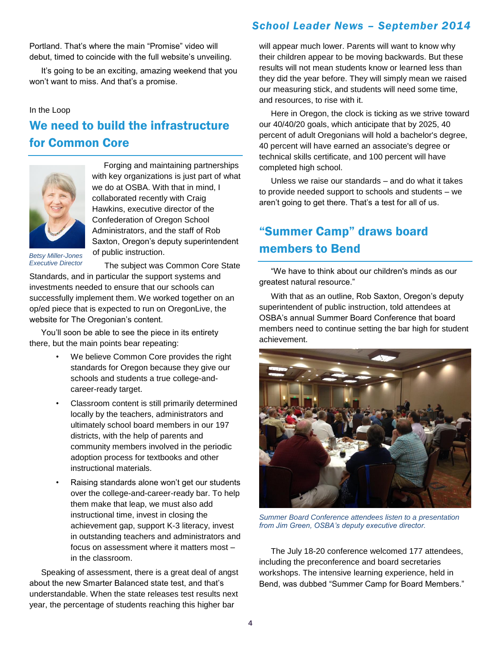Portland. That's where the main "Promise" video will debut, timed to coincide with the full website's unveiling.

It's going to be an exciting, amazing weekend that you won't want to miss. And that's a promise.

#### In the Loop

# We need to build the infrastructure for Common Core



Forging and maintaining partnerships with key organizations is just part of what we do at OSBA. With that in mind, I collaborated recently with Craig Hawkins, executive director of the Confederation of Oregon School Administrators, and the staff of Rob Saxton, Oregon's deputy superintendent of public instruction.

*Betsy Miller-Jones Executive Director*

The subject was Common Core State Standards, and in particular the support systems and investments needed to ensure that our schools can successfully implement them. We worked together on an op/ed piece that is expected to run on OregonLive, the

You'll soon be able to see the piece in its entirety there, but the main points bear repeating:

website for The Oregonian's content.

- We believe Common Core provides the right standards for Oregon because they give our schools and students a true college-andcareer-ready target.
- Classroom content is still primarily determined locally by the teachers, administrators and ultimately school board members in our 197 districts, with the help of parents and community members involved in the periodic adoption process for textbooks and other instructional materials.
- Raising standards alone won't get our students over the college-and-career-ready bar. To help them make that leap, we must also add instructional time, invest in closing the achievement gap, support K-3 literacy, invest in outstanding teachers and administrators and focus on assessment where it matters most – in the classroom.

Speaking of assessment, there is a great deal of angst about the new Smarter Balanced state test, and that's understandable. When the state releases test results next year, the percentage of students reaching this higher bar

## *School Leader News – September 2014*

will appear much lower. Parents will want to know why their children appear to be moving backwards. But these results will not mean students know or learned less than they did the year before. They will simply mean we raised our measuring stick, and students will need some time, and resources, to rise with it.

Here in Oregon, the clock is ticking as we strive toward our 40/40/20 goals, which anticipate that by 2025, 40 percent of adult Oregonians will hold a bachelor's degree, 40 percent will have earned an associate's degree or technical skills certificate, and 100 percent will have completed high school.

Unless we raise our standards – and do what it takes to provide needed support to schools and students – we aren't going to get there. That's a test for all of us.

# "Summer Camp" draws board members to Bend

"We have to think about our children's minds as our greatest natural resource."

With that as an outline, Rob Saxton, Oregon's deputy superintendent of public instruction, told attendees at OSBA's annual Summer Board Conference that board members need to continue setting the bar high for student achievement.



*Summer Board Conference attendees listen to a presentation from Jim Green, OSBA's deputy executive director.* 

The July 18-20 conference welcomed 177 attendees, including the preconference and board secretaries workshops. The intensive learning experience, held in Bend, was dubbed "Summer Camp for Board Members."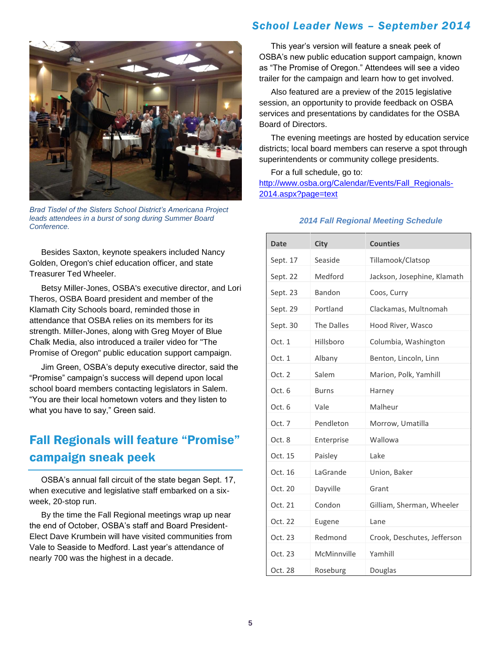### *School Leader News – September 2014*



*Brad Tisdel of the Sisters School District's Americana Project leads attendees in a burst of song during Summer Board Conference.* 

Besides Saxton, keynote speakers included Nancy Golden, Oregon's chief education officer, and state Treasurer Ted Wheeler.

Betsy Miller-Jones, OSBA's executive director, and Lori Theros, OSBA Board president and member of the Klamath City Schools board, reminded those in attendance that OSBA relies on its members for its strength. Miller-Jones, along with Greg Moyer of Blue Chalk Media, also introduced a trailer video for "The Promise of Oregon" public education support campaign.

Jim Green, OSBA's deputy executive director, said the "Promise" campaign's success will depend upon local school board members contacting legislators in Salem. "You are their local hometown voters and they listen to what you have to say," Green said.

# Fall Regionals will feature "Promise" campaign sneak peek

OSBA's annual fall circuit of the state began Sept. 17, when executive and legislative staff embarked on a sixweek, 20-stop run.

By the time the Fall Regional meetings wrap up near the end of October, OSBA's staff and Board President-Elect Dave Krumbein will have visited communities from Vale to Seaside to Medford. Last year's attendance of nearly 700 was the highest in a decade.

This year's version will feature a sneak peek of OSBA's new public education support campaign, known as "The Promise of Oregon." Attendees will see a video trailer for the campaign and learn how to get involved.

Also featured are a preview of the 2015 legislative session, an opportunity to provide feedback on OSBA services and presentations by candidates for the OSBA Board of Directors.

The evening meetings are hosted by education service districts; local board members can reserve a spot through superintendents or community college presidents.

For a full schedule, go to: [http://www.osba.org/Calendar/Events/Fall\\_Regionals-](http://www.osba.org/Calendar/Events/Fall_Regionals-2014.aspx?page=text)[2014.aspx?page=text](http://www.osba.org/Calendar/Events/Fall_Regionals-2014.aspx?page=text)

#### *2014 Fall Regional Meeting Schedule*

| <b>Date</b> | <b>City</b>  | <b>Counties</b>             |
|-------------|--------------|-----------------------------|
| Sept. 17    | Seaside      | Tillamook/Clatsop           |
| Sept. 22    | Medford      | Jackson, Josephine, Klamath |
| Sept. 23    | Bandon       | Coos, Curry                 |
| Sept. 29    | Portland     | Clackamas, Multnomah        |
| Sept. 30    | The Dalles   | Hood River, Wasco           |
| Oct. 1      | Hillsboro    | Columbia, Washington        |
| Oct. 1      | Albany       | Benton, Lincoln, Linn       |
| Oct. 2      | Salem        | Marion, Polk, Yamhill       |
| Oct. 6      | <b>Burns</b> | Harney                      |
| Oct. 6      | Vale         | Malheur                     |
| Oct. 7      | Pendleton    | Morrow, Umatilla            |
| Oct. 8      | Enterprise   | Wallowa                     |
| Oct. 15     | Paisley      | Lake                        |
| Oct. 16     | LaGrande     | Union, Baker                |
| Oct. 20     | Dayville     | Grant                       |
| Oct. 21     | Condon       | Gilliam, Sherman, Wheeler   |
| Oct. 22     | Eugene       | Lane                        |
| Oct. 23     | Redmond      | Crook, Deschutes, Jefferson |
| Oct. 23     | McMinnville  | Yamhill                     |
| Oct. 28     | Roseburg     | Douglas                     |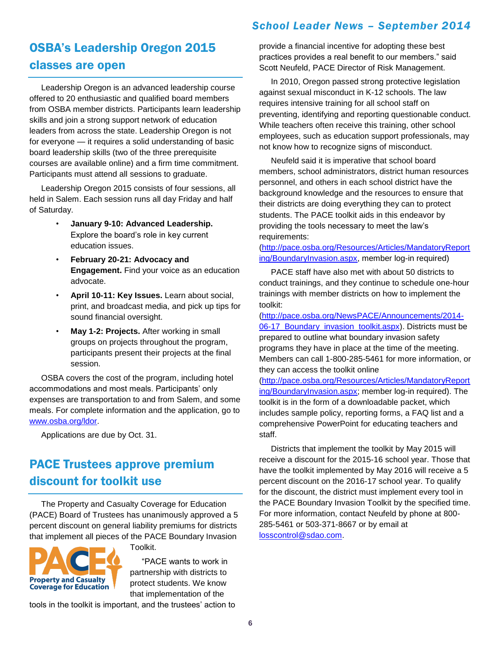## *School Leader News – September 2014*

# OSBA's Leadership Oregon 2015 classes are open

Leadership Oregon is an advanced leadership course offered to 20 enthusiastic and qualified board members from OSBA member districts. Participants learn leadership skills and join a strong support network of education leaders from across the state. Leadership Oregon is not for everyone — it requires a solid understanding of basic board leadership skills (two of the three prerequisite courses are available online) and a firm time commitment. Participants must attend all sessions to graduate.

Leadership Oregon 2015 consists of four sessions, all held in Salem. Each session runs all day Friday and half of Saturday.

- **January 9-10: Advanced Leadership.** Explore the board's role in key current education issues.
- **February 20-21: Advocacy and Engagement.** Find your voice as an education advocate.
- **April 10-11: Key Issues.** Learn about social, print, and broadcast media, and pick up tips for sound financial oversight.
- **May 1-2: Projects.** After working in small groups on projects throughout the program, participants present their projects at the final session.

OSBA covers the cost of the program, including hotel accommodations and most meals. Participants' only expenses are transportation to and from Salem, and some meals. For complete information and the application, go to [www.osba.org/ldor.](http://www.osba.org/ldor)

Applications are due by Oct. 31.

# PACE Trustees approve premium discount for toolkit use

The Property and Casualty Coverage for Education (PACE) Board of Trustees has unanimously approved a 5 percent discount on general liability premiums for districts that implement all pieces of the PACE Boundary Invasion

Toolkit.



"PACE wants to work in

partnership with districts to protect students. We know that implementation of the

tools in the toolkit is important, and the trustees' action to

provide a financial incentive for adopting these best practices provides a real benefit to our members." said Scott Neufeld, PACE Director of Risk Management.

In 2010, Oregon passed strong protective legislation against sexual misconduct in K-12 schools. The law requires intensive training for all school staff on preventing, identifying and reporting questionable conduct. While teachers often receive this training, other school employees, such as education support professionals, may not know how to recognize signs of misconduct.

Neufeld said it is imperative that school board members, school administrators, district human resources personnel, and others in each school district have the background knowledge and the resources to ensure that their districts are doing everything they can to protect students. The PACE toolkit aids in this endeavor by providing the tools necessary to meet the law's requirements:

[\(http://pace.osba.org/Resources/Articles/MandatoryReport](http://pace.osba.org/Resources/Articles/MandatoryReporting/BoundaryInvasion.aspx) [ing/BoundaryInvasion.aspx,](http://pace.osba.org/Resources/Articles/MandatoryReporting/BoundaryInvasion.aspx) member log-in required)

PACE staff have also met with about 50 districts to conduct trainings, and they continue to schedule one-hour trainings with member districts on how to implement the toolkit:

[\(http://pace.osba.org/NewsPACE/Announcements/2014-](http://pace.osba.org/NewsPACE/Announcements/2014-06-17_Boundary_invasion_toolkit.aspx) [06-17\\_Boundary\\_invasion\\_toolkit.aspx\)](http://pace.osba.org/NewsPACE/Announcements/2014-06-17_Boundary_invasion_toolkit.aspx). Districts must be prepared to outline what boundary invasion safety programs they have in place at the time of the meeting. Members can call 1-800-285-5461 for more information, or they can access the toolkit online

[\(http://pace.osba.org/Resources/Articles/MandatoryReport](http://pace.osba.org/Resources/Articles/MandatoryReporting/BoundaryInvasion.aspx) [ing/BoundaryInvasion.aspx;](http://pace.osba.org/Resources/Articles/MandatoryReporting/BoundaryInvasion.aspx) member log-in required). The toolkit is in the form of a downloadable packet, which includes sample policy, reporting forms, a FAQ list and a comprehensive PowerPoint for educating teachers and staff.

Districts that implement the toolkit by May 2015 will receive a discount for the 2015-16 school year. Those that have the toolkit implemented by May 2016 will receive a 5 percent discount on the 2016-17 school year. To qualify for the discount, the district must implement every tool in the PACE Boundary Invasion Toolkit by the specified time. For more information, contact Neufeld by phone at 800- 285-5461 or 503-371-8667 or by email at [losscontrol@sdao.com.](mailto:losscontrol@sdao.com)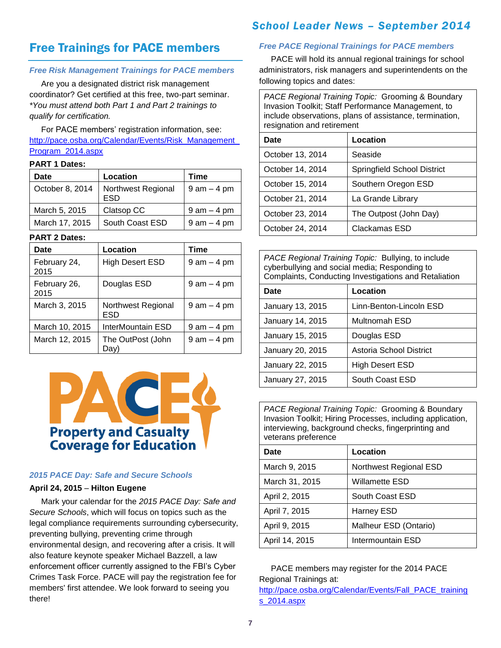## Free Trainings for PACE members

#### *Free Risk Management Trainings for PACE members*

Are you a designated district risk management coordinator? Get certified at this free, two-part seminar. *\*You must attend both Part 1 and Part 2 trainings to qualify for certification.*

For PACE members' registration information, see: [http://pace.osba.org/Calendar/Events/Risk\\_Management\\_](http://pace.osba.org/Calendar/Events/Risk_Management_Program_2014.aspx) [Program\\_2014.aspx](http://pace.osba.org/Calendar/Events/Risk_Management_Program_2014.aspx)

#### **PART 1 Dates:**

| Date            | Location                         | Time            |
|-----------------|----------------------------------|-----------------|
| October 8, 2014 | <b>Northwest Regional</b><br>ESD | $9$ am $-$ 4 pm |
| March 5, 2015   | Clatsop CC                       | $9$ am $-$ 4 pm |
| March 17, 2015  | South Coast ESD                  | $9$ am $-$ 4 pm |

#### **PART 2 Dates:**

| Date                 | Location                  | Time            |
|----------------------|---------------------------|-----------------|
| February 24,<br>2015 | <b>High Desert ESD</b>    | $9$ am $-$ 4 pm |
| February 26,<br>2015 | Douglas ESD               | $9$ am $-$ 4 pm |
| March 3, 2015        | Northwest Regional<br>ESD | $9$ am $-$ 4 pm |
| March 10, 2015       | InterMountain ESD         | $9$ am $-$ 4 pm |
| March 12, 2015       | The OutPost (John<br>Dav' | $9$ am $-$ 4 pm |



#### *2015 PACE Day: Safe and Secure Schools*

#### **April 24, 2015** – **Hilton Eugene**

Mark your calendar for the *2015 PACE Day: Safe and Secure Schools*, which will focus on topics such as the legal compliance requirements surrounding cybersecurity, preventing bullying, preventing crime through environmental design, and recovering after a crisis. It will also feature keynote speaker Michael Bazzell, a law enforcement officer currently assigned to the FBI's Cyber Crimes Task Force. PACE will pay the registration fee for members' first attendee. We look forward to seeing you there!

### *School Leader News – September 2014*

#### *Free PACE Regional Trainings for PACE members*

PACE will hold its annual regional trainings for school administrators, risk managers and superintendents on the following topics and dates:

*PACE Regional Training Topic:* Grooming & Boundary Invasion Toolkit; Staff Performance Management, to include observations, plans of assistance, termination, resignation and retirement

| Date             | Location                    |
|------------------|-----------------------------|
| October 13, 2014 | Seaside                     |
| October 14, 2014 | Springfield School District |
| October 15, 2014 | Southern Oregon ESD         |
| October 21, 2014 | La Grande Library           |
| October 23, 2014 | The Outpost (John Day)      |
| October 24, 2014 | Clackamas ESD               |

*PACE Regional Training Topic:* Bullying, to include cyberbullying and social media; Responding to Complaints, Conducting Investigations and Retaliation

| Date             | Location                |
|------------------|-------------------------|
| January 13, 2015 | Linn-Benton-Lincoln ESD |
| January 14, 2015 | Multnomah ESD           |
| January 15, 2015 | Douglas ESD             |
| January 20, 2015 | Astoria School District |
| January 22, 2015 | <b>High Desert ESD</b>  |
| January 27, 2015 | South Coast ESD         |

*PACE Regional Training Topic:* Grooming & Boundary Invasion Toolkit; Hiring Processes, including application, interviewing, background checks, fingerprinting and veterans preference

| Date           | Location               |
|----------------|------------------------|
| March 9, 2015  | Northwest Regional ESD |
| March 31, 2015 | Willamette ESD         |
| April 2, 2015  | South Coast ESD        |
| April 7, 2015  | Harney ESD             |
| April 9, 2015  | Malheur ESD (Ontario)  |
| April 14, 2015 | Intermountain ESD      |

PACE members may register for the 2014 PACE Regional Trainings at: [http://pace.osba.org/Calendar/Events/Fall\\_PACE\\_training](http://pace.osba.org/Calendar/Events/Fall_PACE_trainings_2014.aspx) [s\\_2014.aspx](http://pace.osba.org/Calendar/Events/Fall_PACE_trainings_2014.aspx)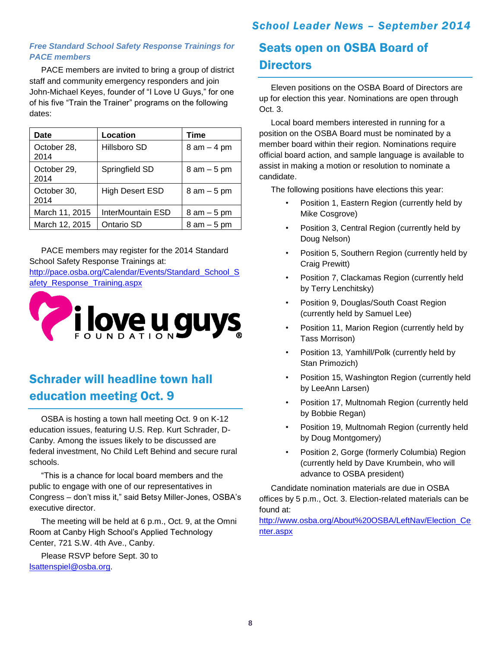### *School Leader News – September 2014*

#### *Free Standard School Safety Response Trainings for PACE members*

PACE members are invited to bring a group of district staff and community emergency responders and join John-Michael Keyes, founder of "I Love U Guys," for one of his five "Train the Trainer" programs on the following dates:

| Date                | Location               | Time            |
|---------------------|------------------------|-----------------|
| October 28,<br>2014 | Hillsboro SD           | $8$ am $-$ 4 pm |
| October 29,<br>2014 | Springfield SD         | $8$ am $-5$ pm  |
| October 30,<br>2014 | <b>High Desert ESD</b> | $8$ am $-5$ pm  |
| March 11, 2015      | InterMountain ESD      | $8$ am $-5$ pm  |
| March 12, 2015      | Ontario SD             | $8$ am $-5$ pm  |

PACE members may register for the 2014 Standard School Safety Response Trainings at:

http://pace.osba.org/Calendar/Events/Standard School S [afety\\_Response\\_Training.aspx](http://pace.osba.org/Calendar/Events/Standard_School_Safety_Response_Training.aspx)



# Schrader will headline town hall education meeting Oct. 9

OSBA is hosting a town hall meeting Oct. 9 on K-12 education issues, featuring U.S. Rep. Kurt Schrader, D-Canby. Among the issues likely to be discussed are federal investment, No Child Left Behind and secure rural schools.

"This is a chance for local board members and the public to engage with one of our representatives in Congress – don't miss it," said Betsy Miller-Jones, OSBA's executive director.

The meeting will be held at 6 p.m., Oct. 9, at the Omni Room at Canby High School's Applied Technology Center, 721 S.W. 4th Ave., Canby.

Please RSVP before Sept. 30 to [lsattenspiel@osba.org.](mailto:lsattenspiel@osba.org)

## Seats open on OSBA Board of **Directors**

Eleven positions on the OSBA Board of Directors are up for election this year. Nominations are open through Oct. 3.

Local board members interested in running for a position on the OSBA Board must be nominated by a member board within their region. Nominations require official board action, and sample language is available to assist in making a motion or resolution to nominate a candidate.

The following positions have elections this year:

- Position 1, Eastern Region (currently held by Mike Cosgrove)
- Position 3, Central Region (currently held by Doug Nelson)
- Position 5, Southern Region (currently held by Craig Prewitt)
- Position 7, Clackamas Region (currently held by Terry Lenchitsky)
- Position 9, Douglas/South Coast Region (currently held by Samuel Lee)
- Position 11, Marion Region (currently held by Tass Morrison)
- Position 13, Yamhill/Polk (currently held by Stan Primozich)
- Position 15, Washington Region (currently held by LeeAnn Larsen)
- Position 17, Multnomah Region (currently held by Bobbie Regan)
- Position 19, Multnomah Region (currently held by Doug Montgomery)
- Position 2, Gorge (formerly Columbia) Region (currently held by Dave Krumbein, who will advance to OSBA president)

Candidate nomination materials are due in OSBA offices by 5 p.m., Oct. 3. Election-related materials can be found at:

[http://www.osba.org/About%20OSBA/LeftNav/Election\\_Ce](http://www.osba.org/About%20OSBA/LeftNav/Election_Center.aspx) [nter.aspx](http://www.osba.org/About%20OSBA/LeftNav/Election_Center.aspx)